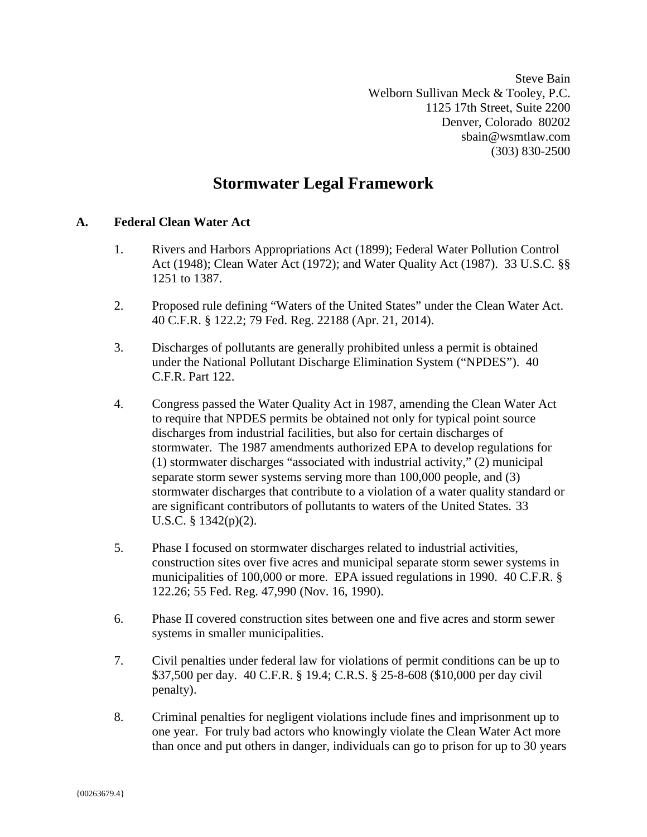Steve Bain Welborn Sullivan Meck & Tooley, P.C. 1125 17th Street, Suite 2200 Denver, Colorado 80202 sbain@wsmtlaw.com (303) 830-2500

# **Stormwater Legal Framework**

## **A. Federal Clean Water Act**

- 1. Rivers and Harbors Appropriations Act (1899); Federal Water Pollution Control Act (1948); Clean Water Act (1972); and Water Quality Act (1987). 33 U.S.C. §§ 1251 to 1387.
- 2. Proposed rule defining "Waters of the United States" under the Clean Water Act. 40 C.F.R. § 122.2; 79 Fed. Reg. 22188 (Apr. 21, 2014).
- 3. Discharges of pollutants are generally prohibited unless a permit is obtained under the National Pollutant Discharge Elimination System ("NPDES"). 40 C.F.R. Part 122.
- 4. Congress passed the Water Quality Act in 1987, amending the Clean Water Act to require that NPDES permits be obtained not only for typical point source discharges from industrial facilities, but also for certain discharges of stormwater. The 1987 amendments authorized EPA to develop regulations for (1) stormwater discharges "associated with industrial activity," (2) municipal separate storm sewer systems serving more than 100,000 people, and (3) stormwater discharges that contribute to a violation of a water quality standard or are significant contributors of pollutants to waters of the United States. 33 U.S.C. § 1342(p)(2).
- 5. Phase I focused on stormwater discharges related to industrial activities, construction sites over five acres and municipal separate storm sewer systems in municipalities of 100,000 or more. EPA issued regulations in 1990. 40 C.F.R. § 122.26; 55 Fed. Reg. 47,990 (Nov. 16, 1990).
- 6. Phase II covered construction sites between one and five acres and storm sewer systems in smaller municipalities.
- 7. Civil penalties under federal law for violations of permit conditions can be up to \$37,500 per day. 40 C.F.R. § 19.4; C.R.S. § 25-8-608 (\$10,000 per day civil penalty).
- 8. Criminal penalties for negligent violations include fines and imprisonment up to one year. For truly bad actors who knowingly violate the Clean Water Act more than once and put others in danger, individuals can go to prison for up to 30 years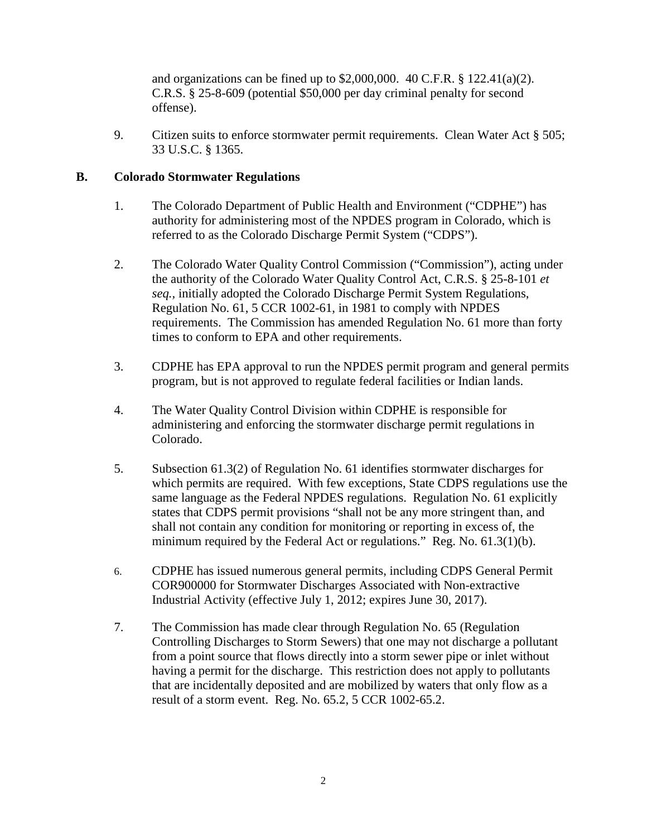and organizations can be fined up to \$2,000,000. 40 C.F.R. § 122.41(a)(2). C.R.S. § 25-8-609 (potential \$50,000 per day criminal penalty for second offense).

9. Citizen suits to enforce stormwater permit requirements. Clean Water Act § 505; 33 U.S.C. § 1365.

#### **B. Colorado Stormwater Regulations**

- 1. The Colorado Department of Public Health and Environment ("CDPHE") has authority for administering most of the NPDES program in Colorado, which is referred to as the Colorado Discharge Permit System ("CDPS").
- 2. The Colorado Water Quality Control Commission ("Commission"), acting under the authority of the Colorado Water Quality Control Act, C.R.S. § 25-8-101 *et seq.,* initially adopted the Colorado Discharge Permit System Regulations, Regulation No. 61, 5 CCR 1002-61, in 1981 to comply with NPDES requirements. The Commission has amended Regulation No. 61 more than forty times to conform to EPA and other requirements.
- 3. CDPHE has EPA approval to run the NPDES permit program and general permits program, but is not approved to regulate federal facilities or Indian lands.
- 4. The Water Quality Control Division within CDPHE is responsible for administering and enforcing the stormwater discharge permit regulations in Colorado.
- 5. Subsection 61.3(2) of Regulation No. 61 identifies stormwater discharges for which permits are required. With few exceptions, State CDPS regulations use the same language as the Federal NPDES regulations. Regulation No. 61 explicitly states that CDPS permit provisions "shall not be any more stringent than, and shall not contain any condition for monitoring or reporting in excess of, the minimum required by the Federal Act or regulations." Reg. No. 61.3(1)(b).
- 6. CDPHE has issued numerous general permits, including CDPS General Permit COR900000 for Stormwater Discharges Associated with Non-extractive Industrial Activity (effective July 1, 2012; expires June 30, 2017).
- 7. The Commission has made clear through Regulation No. 65 (Regulation Controlling Discharges to Storm Sewers) that one may not discharge a pollutant from a point source that flows directly into a storm sewer pipe or inlet without having a permit for the discharge. This restriction does not apply to pollutants that are incidentally deposited and are mobilized by waters that only flow as a result of a storm event. Reg. No. 65.2, 5 CCR 1002-65.2.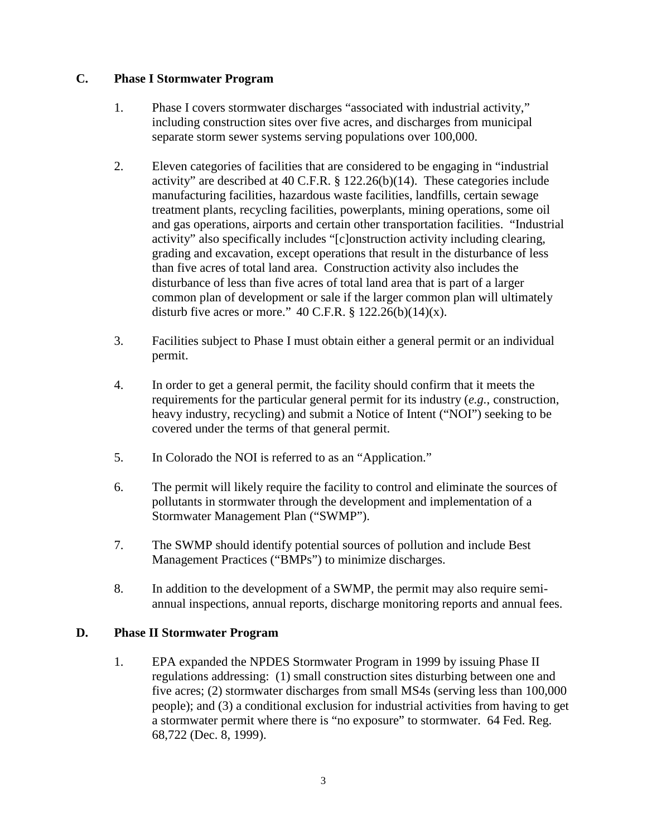#### **C. Phase I Stormwater Program**

- 1. Phase I covers stormwater discharges "associated with industrial activity," including construction sites over five acres, and discharges from municipal separate storm sewer systems serving populations over 100,000.
- 2. Eleven categories of facilities that are considered to be engaging in "industrial activity" are described at 40 C.F.R. § 122.26(b)(14). These categories include manufacturing facilities, hazardous waste facilities, landfills, certain sewage treatment plants, recycling facilities, powerplants, mining operations, some oil and gas operations, airports and certain other transportation facilities. "Industrial activity" also specifically includes "[c]onstruction activity including clearing, grading and excavation, except operations that result in the disturbance of less than five acres of total land area. Construction activity also includes the disturbance of less than five acres of total land area that is part of a larger common plan of development or sale if the larger common plan will ultimately disturb five acres or more."  $40$  C.F.R. § 122.26(b)(14)(x).
- 3. Facilities subject to Phase I must obtain either a general permit or an individual permit.
- 4. In order to get a general permit, the facility should confirm that it meets the requirements for the particular general permit for its industry (*e.g.*, construction, heavy industry, recycling) and submit a Notice of Intent ("NOI") seeking to be covered under the terms of that general permit.
- 5. In Colorado the NOI is referred to as an "Application."
- 6. The permit will likely require the facility to control and eliminate the sources of pollutants in stormwater through the development and implementation of a Stormwater Management Plan ("SWMP").
- 7. The SWMP should identify potential sources of pollution and include Best Management Practices ("BMPs") to minimize discharges.
- 8. In addition to the development of a SWMP, the permit may also require semiannual inspections, annual reports, discharge monitoring reports and annual fees.

### **D. Phase II Stormwater Program**

1. EPA expanded the NPDES Stormwater Program in 1999 by issuing Phase II regulations addressing: (1) small construction sites disturbing between one and five acres; (2) stormwater discharges from small MS4s (serving less than 100,000 people); and (3) a conditional exclusion for industrial activities from having to get a stormwater permit where there is "no exposure" to stormwater. 64 Fed. Reg. 68,722 (Dec. 8, 1999).